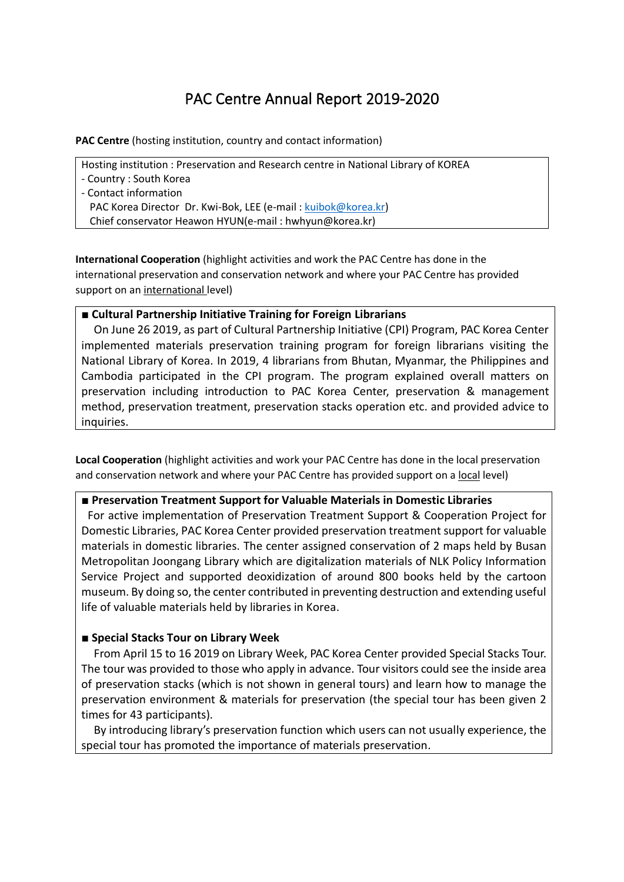# PAC Centre Annual Report 2019-2020

**PAC Centre** (hosting institution, country and contact information)

Hosting institution : Preservation and Research centre in National Library of KOREA

- Country : South Korea
- Contact information

PAC Korea Director Dr. Kwi-Bok, LEE (e-mail [: kuibok@korea.kr\)](mailto:kuibok@korea.kr)

Chief conservator Heawon HYUN(e-mail : hwhyun@korea.kr)

**International Cooperation** (highlight activities and work the PAC Centre has done in the international preservation and conservation network and where your PAC Centre has provided support on an international level)

## **■ Cultural Partnership Initiative Training for Foreign Librarians**

On June 26 2019, as part of Cultural Partnership Initiative (CPI) Program, PAC Korea Center implemented materials preservation training program for foreign librarians visiting the National Library of Korea. In 2019, 4 librarians from Bhutan, Myanmar, the Philippines and Cambodia participated in the CPI program. The program explained overall matters on preservation including introduction to PAC Korea Center, preservation & management method, preservation treatment, preservation stacks operation etc. and provided advice to inquiries.

**Local Cooperation** (highlight activities and work your PAC Centre has done in the local preservation and conservation network and where your PAC Centre has provided support on a local level)

### **■ Preservation Treatment Support for Valuable Materials in Domestic Libraries**

For active implementation of Preservation Treatment Support & Cooperation Project for Domestic Libraries, PAC Korea Center provided preservation treatment support for valuable materials in domestic libraries. The center assigned conservation of 2 maps held by Busan Metropolitan Joongang Library which are digitalization materials of NLK Policy Information Service Project and supported deoxidization of around 800 books held by the cartoon museum. By doing so, the center contributed in preventing destruction and extending useful life of valuable materials held by libraries in Korea.

## **■ Special Stacks Tour on Library Week**

From April 15 to 16 2019 on Library Week, PAC Korea Center provided Special Stacks Tour. The tour was provided to those who apply in advance. Tour visitors could see the inside area of preservation stacks (which is not shown in general tours) and learn how to manage the preservation environment & materials for preservation (the special tour has been given 2 times for 43 participants).

By introducing library's preservation function which users can not usually experience, the special tour has promoted the importance of materials preservation.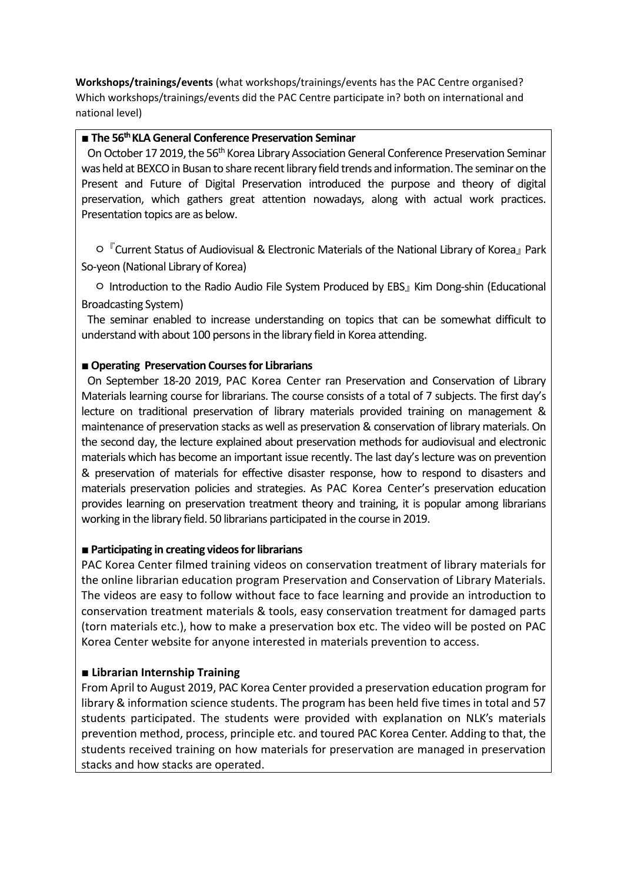**Workshops/trainings/events** (what workshops/trainings/events has the PAC Centre organised? Which workshops/trainings/events did the PAC Centre participate in? both on international and national level)

## **■ The 56th KLA General Conference Preservation Seminar**

On October 17 2019, the 56<sup>th</sup> Korea Library Association General Conference Preservation Seminar was held at BEXCO in Busan to share recent library field trends and information. The seminar on the Present and Future of Digital Preservation introduced the purpose and theory of digital preservation, which gathers great attention nowadays, along with actual work practices. Presentation topics are as below.

o 『Current Status of Audiovisual & Electronic Materials of the National Library of Korea』 Park So-yeon (National Library of Korea)

ㅇ Introduction to the Radio Audio File System Produced by EBS』 Kim Dong-shin (Educational Broadcasting System)

The seminar enabled to increase understanding on topics that can be somewhat difficult to understand with about 100 persons in the library field in Korea attending.

## ■ Operating Preservation Courses for Librarians

On September 18-20 2019, PAC Korea Center ran Preservation and Conservation of Library Materials learning course for librarians. The course consists of a total of 7 subjects. The first day's lecture on traditional preservation of library materials provided training on management & maintenance of preservation stacks as well as preservation & conservation of library materials. On the second day, the lecture explained about preservation methods for audiovisual and electronic materials which has become an important issue recently. The last day's lecture was on prevention & preservation of materials for effective disaster response, how to respond to disasters and materials preservation policies and strategies. As PAC Korea Center's preservation education provides learning on preservation treatment theory and training, it is popular among librarians working in the library field. 50 librarians participated in the course in 2019.

### ■ **Participating in creating videos for librarians**

PAC Korea Center filmed training videos on conservation treatment of library materials for the online librarian education program Preservation and Conservation of Library Materials. The videos are easy to follow without face to face learning and provide an introduction to conservation treatment materials & tools, easy conservation treatment for damaged parts (torn materials etc.), how to make a preservation box etc. The video will be posted on PAC Korea Center website for anyone interested in materials prevention to access.

### **■ Librarian Internship Training**

From April to August 2019, PAC Korea Center provided a preservation education program for library & information science students. The program has been held five times in total and 57 students participated. The students were provided with explanation on NLK's materials prevention method, process, principle etc. and toured PAC Korea Center. Adding to that, the students received training on how materials for preservation are managed in preservation stacks and how stacks are operated.